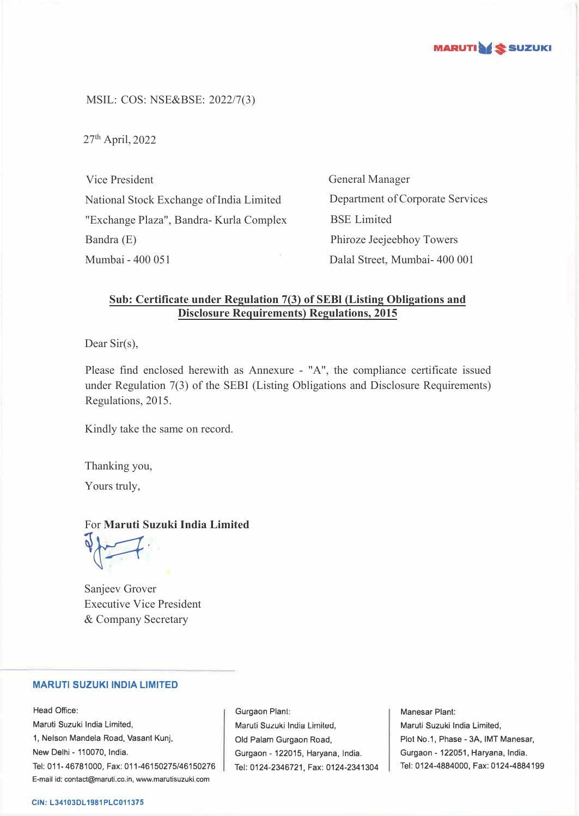

MSIL: COS: NSE&BSE: 2022/7(3)

 $27<sup>th</sup>$  April, 2022

Vice President National Stock Exchange of India Limited "Exchange Plaza", Bandra- Kurla Complex Bandra (E) Mumbai - 400 051

General Manager Department of Corporate Services BSE Limited Phiroze Jeejeebhoy Towers Dalal Street, Mumbai- 400 001

# **Sub: Certificate under Regulation 7(3) of SEBl (Listing Obligations and Disclosure Requirements) Regulations, 2015**

Dear Sir(s),

Please find enclosed herewith as Annexure - "A", the compliance certificate issued under Regulation 7(3) of the SEBI (Listing Obligations and Disclosure Requirements) Regulations, 2015.

Kindly take the same on record.

Thanking you,

Yours truly,

## For **Maruti Suzuki India Limited**

 $\sqrt{2}$ 

Sanjeev Grover Executive Vice President & Company Secretary

## **MARUTI SUZUKI INDIA LIMITED**

Head Office: Maruti Suzuki India Limited, 1, Nelson Mandela Road, Vasant Kunj, New Delhi - 110070, India. Tel: 011-46781000, Fax: 011-46150275/46150276 E-mail id: contact@maruti.co.in, www.marutisuzuki.com

Gurgaon Plant: Maruli Suzuki India Lirniled, Old Palam Gurgaon Road, Gurgaon - 122015, Haryana, India. Tel: 0124-2346721, Fax: 0124-2341304

Manesar Plant: Maruti Suzuki India Limited, Plot No.1, Phase - 3A, IMT Manesar, Gurgaon - 122051, Haryana, India. Tel: 0124-4884000, Fax: 0124-4884199

#### **CIN: L34103DL1981PLC011375**